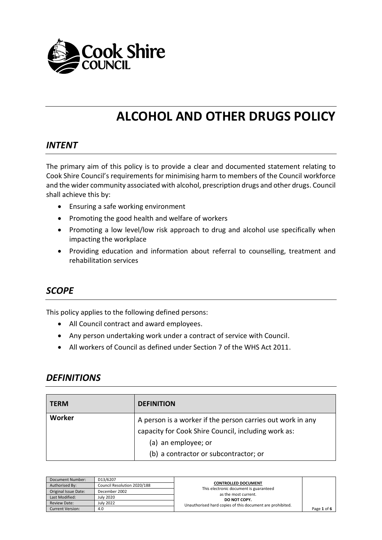

# **ALCOHOL AND OTHER DRUGS POLICY**

#### *INTENT*

The primary aim of this policy is to provide a clear and documented statement relating to Cook Shire Council's requirements for minimising harm to members of the Council workforce and the wider community associated with alcohol, prescription drugs and other drugs. Council shall achieve this by:

- Ensuring a safe working environment
- Promoting the good health and welfare of workers
- Promoting a low level/low risk approach to drug and alcohol use specifically when impacting the workplace
- Providing education and information about referral to counselling, treatment and rehabilitation services

## *SCOPE*

This policy applies to the following defined persons:

- All Council contract and award employees.
- Any person undertaking work under a contract of service with Council.
- All workers of Council as defined under Section 7 of the WHS Act 2011.

#### *DEFINITIONS*

| <b>TERM</b> | <b>DEFINITION</b>                                                                                                                                                                 |
|-------------|-----------------------------------------------------------------------------------------------------------------------------------------------------------------------------------|
| Worker      | A person is a worker if the person carries out work in any<br>capacity for Cook Shire Council, including work as:<br>(a) an employee; or<br>(b) a contractor or subcontractor; or |

| Document Number:     | D13/6207                    |                                                                |             |
|----------------------|-----------------------------|----------------------------------------------------------------|-------------|
| Authorised By:       | Council Resolution 2020/188 | <b>CONTROLLED DOCUMENT</b>                                     |             |
| Original Issue Date: | December 2002               | This electronic document is guaranteed<br>as the most current. |             |
| Last Modified:       | <b>July 2020</b>            | DO NOT COPY.                                                   |             |
| <b>Review Date:</b>  | <b>July 2022</b>            | Unauthorised hard copies of this document are prohibited.      |             |
| Current Version:     | 4.0                         |                                                                | Page 1 of 6 |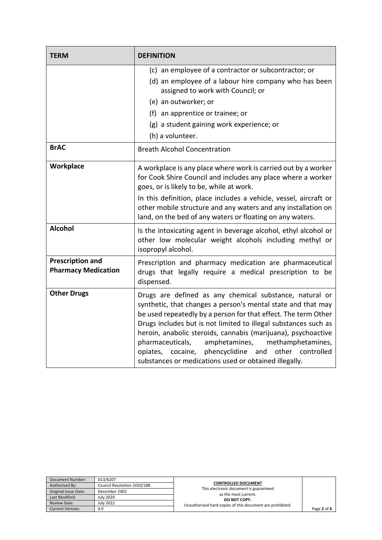| <b>TERM</b>                                           | <b>DEFINITION</b>                                                                                                                                                                                                                                                                                                                                                                                                                                                                                           |  |
|-------------------------------------------------------|-------------------------------------------------------------------------------------------------------------------------------------------------------------------------------------------------------------------------------------------------------------------------------------------------------------------------------------------------------------------------------------------------------------------------------------------------------------------------------------------------------------|--|
|                                                       | (c) an employee of a contractor or subcontractor; or<br>(d) an employee of a labour hire company who has been<br>assigned to work with Council; or<br>(e) an outworker; or<br>(f) an apprentice or trainee; or                                                                                                                                                                                                                                                                                              |  |
|                                                       | (g) a student gaining work experience; or<br>(h) a volunteer.                                                                                                                                                                                                                                                                                                                                                                                                                                               |  |
| <b>BrAC</b>                                           | <b>Breath Alcohol Concentration</b>                                                                                                                                                                                                                                                                                                                                                                                                                                                                         |  |
| Workplace                                             | A workplace is any place where work is carried out by a worker<br>for Cook Shire Council and includes any place where a worker<br>goes, or is likely to be, while at work.<br>In this definition, place includes a vehicle, vessel, aircraft or<br>other mobile structure and any waters and any installation on<br>land, on the bed of any waters or floating on any waters.                                                                                                                               |  |
| <b>Alcohol</b>                                        | Is the intoxicating agent in beverage alcohol, ethyl alcohol or<br>other low molecular weight alcohols including methyl or<br>isopropyl alcohol.                                                                                                                                                                                                                                                                                                                                                            |  |
| <b>Prescription and</b><br><b>Pharmacy Medication</b> | Prescription and pharmacy medication are pharmaceutical<br>drugs that legally require a medical prescription to be<br>dispensed.                                                                                                                                                                                                                                                                                                                                                                            |  |
| <b>Other Drugs</b>                                    | Drugs are defined as any chemical substance, natural or<br>synthetic, that changes a person's mental state and that may<br>be used repeatedly by a person for that effect. The term Other<br>Drugs includes but is not limited to illegal substances such as<br>heroin, anabolic steroids, cannabis (marijuana), psychoactive<br>pharmaceuticals,<br>amphetamines,<br>methamphetamines,<br>opiates, cocaine, phencyclidine and<br>other controlled<br>substances or medications used or obtained illegally. |  |

| Document Number:     | D13/6207                    |                                                                |             |
|----------------------|-----------------------------|----------------------------------------------------------------|-------------|
| Authorised By:       | Council Resolution 2020/188 | <b>CONTROLLED DOCUMENT</b>                                     |             |
| Original Issue Date: | December 2002               | This electronic document is guaranteed<br>as the most current. |             |
| Last Modified:       | <b>July 2020</b>            | DO NOT COPY.                                                   |             |
| <b>Review Date:</b>  | <b>July 2022</b>            | Unauthorised hard copies of this document are prohibited.      |             |
| Current Version:     | 4.0                         |                                                                | Page 2 of 6 |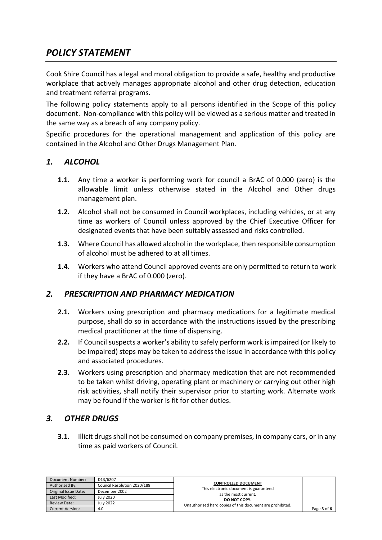# *POLICY STATEMENT*

Cook Shire Council has a legal and moral obligation to provide a safe, healthy and productive workplace that actively manages appropriate alcohol and other drug detection, education and treatment referral programs.

The following policy statements apply to all persons identified in the Scope of this policy document. Non-compliance with this policy will be viewed as a serious matter and treated in the same way as a breach of any company policy.

Specific procedures for the operational management and application of this policy are contained in the Alcohol and Other Drugs Management Plan.

#### *1. ALCOHOL*

- **1.1.** Any time a worker is performing work for council a BrAC of 0.000 (zero) is the allowable limit unless otherwise stated in the Alcohol and Other drugs management plan.
- **1.2.** Alcohol shall not be consumed in Council workplaces, including vehicles, or at any time as workers of Council unless approved by the Chief Executive Officer for designated events that have been suitably assessed and risks controlled.
- **1.3.** Where Council has allowed alcohol in the workplace, then responsible consumption of alcohol must be adhered to at all times.
- **1.4.** Workers who attend Council approved events are only permitted to return to work if they have a BrAC of 0.000 (zero).

#### *2. PRESCRIPTION AND PHARMACY MEDICATION*

- **2.1.** Workers using prescription and pharmacy medications for a legitimate medical purpose, shall do so in accordance with the instructions issued by the prescribing medical practitioner at the time of dispensing.
- **2.2.** If Council suspects a worker's ability to safely perform work is impaired (or likely to be impaired) steps may be taken to address the issue in accordance with this policy and associated procedures.
- **2.3.** Workers using prescription and pharmacy medication that are not recommended to be taken whilst driving, operating plant or machinery or carrying out other high risk activities, shall notify their supervisor prior to starting work. Alternate work may be found if the worker is fit for other duties.

#### *3. OTHER DRUGS*

**3.1.** Illicit drugs shall not be consumed on company premises, in company cars, or in any time as paid workers of Council.

| Document Number:        | D13/6207                    |                                                                |             |
|-------------------------|-----------------------------|----------------------------------------------------------------|-------------|
| Authorised By:          | Council Resolution 2020/188 | <b>CONTROLLED DOCUMENT</b>                                     |             |
| Original Issue Date:    | December 2002               | This electronic document is guaranteed<br>as the most current. |             |
| Last Modified:          | <b>July 2020</b>            | DO NOT COPY.                                                   |             |
| <b>Review Date:</b>     | <b>July 2022</b>            | Unauthorised hard copies of this document are prohibited.      |             |
| <b>Current Version:</b> | 4.0                         |                                                                | Page 3 of 6 |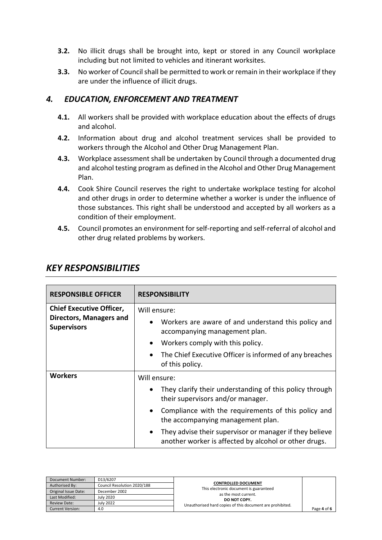- **3.2.** No illicit drugs shall be brought into, kept or stored in any Council workplace including but not limited to vehicles and itinerant worksites.
- **3.3.** No worker of Council shall be permitted to work or remain in their workplace if they are under the influence of illicit drugs.

#### *4. EDUCATION, ENFORCEMENT AND TREATMENT*

- **4.1.** All workers shall be provided with workplace education about the effects of drugs and alcohol.
- **4.2.** Information about drug and alcohol treatment services shall be provided to workers through the Alcohol and Other Drug Management Plan.
- **4.3.** Workplace assessment shall be undertaken by Council through a documented drug and alcohol testing program as defined in the Alcohol and Other Drug Management Plan.
- **4.4.** Cook Shire Council reserves the right to undertake workplace testing for alcohol and other drugs in order to determine whether a worker is under the influence of those substances. This right shall be understood and accepted by all workers as a condition of their employment.
- **4.5.** Council promotes an environment for self-reporting and self-referral of alcohol and other drug related problems by workers.

| <b>RESPONSIBLE OFFICER</b>                                                              | <b>RESPONSIBILITY</b>                                                                                                                                                                                                                                                                                                                                  |  |
|-----------------------------------------------------------------------------------------|--------------------------------------------------------------------------------------------------------------------------------------------------------------------------------------------------------------------------------------------------------------------------------------------------------------------------------------------------------|--|
| <b>Chief Executive Officer,</b><br><b>Directors, Managers and</b><br><b>Supervisors</b> | Will ensure:<br>Workers are aware of and understand this policy and<br>$\bullet$<br>accompanying management plan.<br>Workers comply with this policy.<br>$\bullet$<br>The Chief Executive Officer is informed of any breaches<br>$\bullet$<br>of this policy.                                                                                          |  |
| <b>Workers</b>                                                                          | Will ensure:<br>They clarify their understanding of this policy through<br>their supervisors and/or manager.<br>Compliance with the requirements of this policy and<br>$\bullet$<br>the accompanying management plan.<br>They advise their supervisor or manager if they believe<br>$\bullet$<br>another worker is affected by alcohol or other drugs. |  |

### *KEY RESPONSIBILITIES*

| Document Number:        | D13/6207                    |                                                                |             |
|-------------------------|-----------------------------|----------------------------------------------------------------|-------------|
| Authorised By:          | Council Resolution 2020/188 | <b>CONTROLLED DOCUMENT</b>                                     |             |
| Original Issue Date:    | December 2002               | This electronic document is guaranteed<br>as the most current. |             |
| Last Modified:          | <b>July 2020</b>            | DO NOT COPY.                                                   |             |
| <b>Review Date:</b>     | <b>July 2022</b>            | Unauthorised hard copies of this document are prohibited.      |             |
| <b>Current Version:</b> | 4.0                         |                                                                | Page 4 of 6 |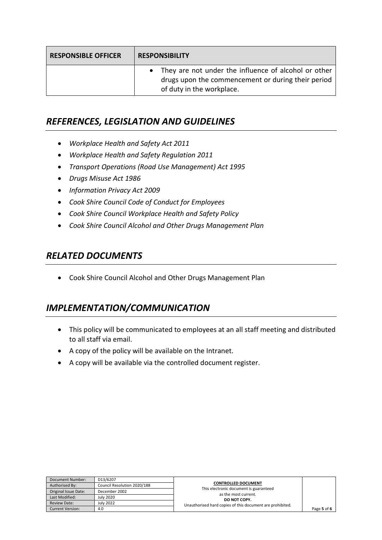| <b>RESPONSIBLE OFFICER</b> | <b>RESPONSIBILITY</b>                                                                                                                     |  |
|----------------------------|-------------------------------------------------------------------------------------------------------------------------------------------|--|
|                            | • They are not under the influence of alcohol or other<br>drugs upon the commencement or during their period<br>of duty in the workplace. |  |

# *REFERENCES, LEGISLATION AND GUIDELINES*

- *Workplace Health and Safety Act 2011*
- *Workplace Health and Safety Regulation 2011*
- *Transport Operations (Road Use Management) Act 1995*
- *Drugs Misuse Act 1986*
- *Information Privacy Act 2009*
- *Cook Shire Council Code of Conduct for Employees*
- *Cook Shire Council Workplace Health and Safety Policy*
- *Cook Shire Council Alcohol and Other Drugs Management Plan*

## *RELATED DOCUMENTS*

Cook Shire Council Alcohol and Other Drugs Management Plan

# *IMPLEMENTATION/COMMUNICATION*

- This policy will be communicated to employees at an all staff meeting and distributed to all staff via email.
- A copy of the policy will be available on the Intranet.
- A copy will be available via the controlled document register.

| Document Number:        | D13/6207                    |                                                                |             |
|-------------------------|-----------------------------|----------------------------------------------------------------|-------------|
| Authorised By:          | Council Resolution 2020/188 | <b>CONTROLLED DOCUMENT</b>                                     |             |
| Original Issue Date:    | December 2002               | This electronic document is guaranteed<br>as the most current. |             |
| Last Modified:          | <b>July 2020</b>            | DO NOT COPY.                                                   |             |
| <b>Review Date:</b>     | <b>July 2022</b>            | Unauthorised hard copies of this document are prohibited.      |             |
| <b>Current Version:</b> | 4.0                         |                                                                | Page 5 of 6 |